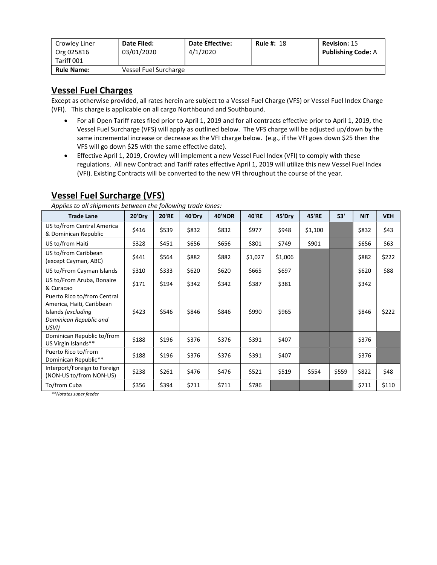| Crowley Liner<br>Org 025816<br>Tariff 001 | Date Filed:<br>03/01/2020 | <b>Date Effective:</b><br>4/1/2020 | <b>Rule #: 18</b> | <b>Revision: 15</b><br><b>Publishing Code: A</b> |
|-------------------------------------------|---------------------------|------------------------------------|-------------------|--------------------------------------------------|
| <b>Rule Name:</b>                         | Vessel Fuel Surcharge     |                                    |                   |                                                  |

# Vessel Fuel Charges

Except as otherwise provided, all rates herein are subject to a Vessel Fuel Charge (VFS) or Vessel Fuel Index Charge (VFI). This charge is applicable on all cargo Northbound and Southbound.

- For all Open Tariff rates filed prior to April 1, 2019 and for all contracts effective prior to April 1, 2019, the Vessel Fuel Surcharge (VFS) will apply as outlined below. The VFS charge will be adjusted up/down by the same incremental increase or decrease as the VFI charge below. (e.g., if the VFI goes down \$25 then the VFS will go down \$25 with the same effective date).
- Effective April 1, 2019, Crowley will implement a new Vessel Fuel Index (VFI) to comply with these regulations. All new Contract and Tariff rates effective April 1, 2019 will utilize this new Vessel Fuel Index (VFI). Existing Contracts will be converted to the new VFI throughout the course of the year.

| Applies to all shipments between the following trade failes.                                                      |        |              |        |               |         |         |         |       |            |            |
|-------------------------------------------------------------------------------------------------------------------|--------|--------------|--------|---------------|---------|---------|---------|-------|------------|------------|
| <b>Trade Lane</b>                                                                                                 | 20'Dry | <b>20'RE</b> | 40'Dry | <b>40'NOR</b> | 40'RE   | 45'Dry  | 45'RE   | 53'   | <b>NIT</b> | <b>VEH</b> |
| US to/from Central America<br>& Dominican Republic                                                                | \$416  | \$539        | \$832  | \$832         | \$977   | \$948   | \$1,100 |       | \$832      | \$43       |
| US to/from Haiti                                                                                                  | \$328  | \$451        | \$656  | \$656         | \$801   | \$749   | \$901   |       | \$656      | \$63       |
| US to/from Caribbean<br>(except Cayman, ABC)                                                                      | \$441  | \$564        | \$882  | \$882         | \$1,027 | \$1,006 |         |       | \$882      | \$222      |
| US to/From Cayman Islands                                                                                         | \$310  | \$333        | \$620  | \$620         | \$665   | \$697   |         |       | \$620      | \$88       |
| US to/From Aruba, Bonaire<br>& Curacao                                                                            | \$171  | \$194        | \$342  | \$342         | \$387   | \$381   |         |       | \$342      |            |
| Puerto Rico to/from Central<br>America, Haiti, Caribbean<br>Islands (excluding<br>Dominican Republic and<br>USVI) | \$423  | \$546        | \$846  | \$846         | \$990   | \$965   |         |       | \$846      | \$222      |
| Dominican Republic to/from<br>US Virgin Islands**                                                                 | \$188  | \$196        | \$376  | \$376         | \$391   | \$407   |         |       | \$376      |            |
| Puerto Rico to/from<br>Dominican Republic**                                                                       | \$188  | \$196        | \$376  | \$376         | \$391   | \$407   |         |       | \$376      |            |
| Interport/Foreign to Foreign<br>(NON-US to/from NON-US)                                                           | \$238  | \$261        | \$476  | \$476         | \$521   | \$519   | \$554   | \$559 | \$822      | \$48       |
| To/from Cuba                                                                                                      | \$356  | \$394        | \$711  | \$711         | \$786   |         |         |       | \$711      | \$110      |

## Vessel Fuel Surcharge (VFS)

Applies to all shipments between the following trade lanes:

\*\*Notates super feeder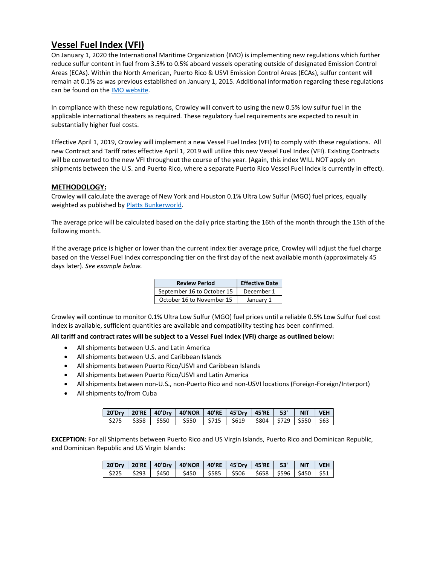### Vessel Fuel Index (VFI)

On January 1, 2020 the International Maritime Organization (IMO) is implementing new regulations which further reduce sulfur content in fuel from 3.5% to 0.5% aboard vessels operating outside of designated Emission Control Areas (ECAs). Within the North American, Puerto Rico & USVI Emission Control Areas (ECAs), sulfur content will remain at 0.1% as was previous established on January 1, 2015. Additional information regarding these regulations can be found on the IMO website.

In compliance with these new regulations, Crowley will convert to using the new 0.5% low sulfur fuel in the applicable international theaters as required. These regulatory fuel requirements are expected to result in substantially higher fuel costs.

Effective April 1, 2019, Crowley will implement a new Vessel Fuel Index (VFI) to comply with these regulations. All new Contract and Tariff rates effective April 1, 2019 will utilize this new Vessel Fuel Index (VFI). Existing Contracts will be converted to the new VFI throughout the course of the year. (Again, this index WILL NOT apply on shipments between the U.S. and Puerto Rico, where a separate Puerto Rico Vessel Fuel Index is currently in effect).

### METHODOLOGY:

Crowley will calculate the average of New York and Houston 0.1% Ultra Low Sulfur (MGO) fuel prices, equally weighted as published by Platts Bunkerworld.

The average price will be calculated based on the daily price starting the 16th of the month through the 15th of the following month.

If the average price is higher or lower than the current index tier average price, Crowley will adjust the fuel charge based on the Vessel Fuel Index corresponding tier on the first day of the next available month (approximately 45 days later). See example below.

| <b>Review Period</b>       | <b>Effective Date</b> |
|----------------------------|-----------------------|
| September 16 to October 15 | December 1            |
| October 16 to November 15  | January 1             |

Crowley will continue to monitor 0.1% Ultra Low Sulfur (MGO) fuel prices until a reliable 0.5% Low Sulfur fuel cost index is available, sufficient quantities are available and compatibility testing has been confirmed.

### All tariff and contract rates will be subject to a Vessel Fuel Index (VFI) charge as outlined below:

- All shipments between U.S. and Latin America
- All shipments between U.S. and Caribbean Islands
- All shipments between Puerto Rico/USVI and Caribbean Islands
- All shipments between Puerto Rico/USVI and Latin America
- All shipments between non-U.S., non-Puerto Rico and non-USVI locations (Foreign-Foreign/Interport)
- All shipments to/from Cuba

|  | 20'Dry   20'RE   40'Dry   40'NOR   40'RE   45'Dry   45'RE   53'   NIT   VEH  |  |  |  |
|--|------------------------------------------------------------------------------|--|--|--|
|  | \$275   \$358   \$550   \$550   \$715   \$619   \$804   \$729   \$550   \$63 |  |  |  |

EXCEPTION: For all Shipments between Puerto Rico and US Virgin Islands, Puerto Rico and Dominican Republic, and Dominican Republic and US Virgin Islands:

|  | 20'Dry   20'RE   40'Dry   40'NOR   40'RE   45'Dry   45'RE   53'   NIT   VEH |  |  |  |
|--|-----------------------------------------------------------------------------|--|--|--|
|  |                                                                             |  |  |  |